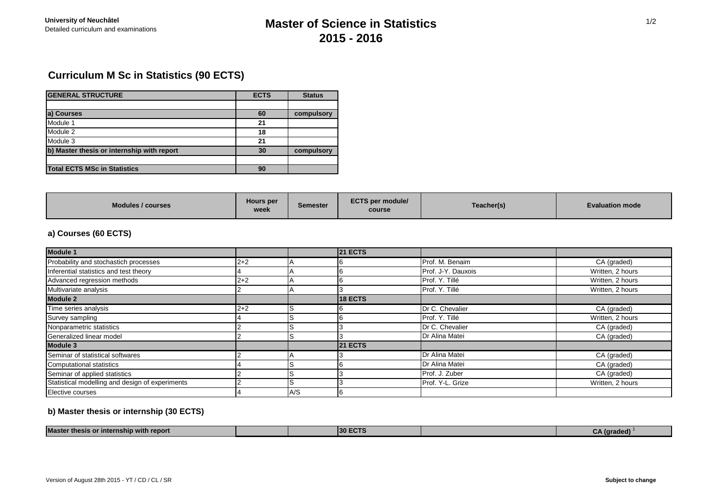# University of Neuchâtel<br>Detailed curriculum and examinations **Master of Science in Statistics 2015 - 2016**

# **Curriculum M Sc in Statistics (90 ECTS)**

| <b>GENERAL STRUCTURE</b>                   | <b>ECTS</b> | <b>Status</b> |  |
|--------------------------------------------|-------------|---------------|--|
|                                            |             |               |  |
| a) Courses                                 | 60          | compulsory    |  |
| Module 1                                   | 21          |               |  |
| Module 2                                   | 18          |               |  |
| Module 3                                   | 21          |               |  |
| b) Master thesis or internship with report | 30          | compulsory    |  |
|                                            |             |               |  |
| <b>Total ECTS MSc in Statistics</b>        | 90          |               |  |

| Hours per<br>Modules / courses<br>week | Semester | <b>ECTS per module/</b><br>course | Teacher(s) | <b>Evaluation mode</b> |
|----------------------------------------|----------|-----------------------------------|------------|------------------------|
|----------------------------------------|----------|-----------------------------------|------------|------------------------|

### **a) Courses (60 ECTS)**

| <b>Module 1</b>                                 |         |     | <b>21 ECTS</b> |                    |                  |
|-------------------------------------------------|---------|-----|----------------|--------------------|------------------|
| Probability and stochastich processes           | $2 + 2$ |     |                | Prof. M. Benaim    | CA (graded)      |
| Inferential statistics and test theory          |         |     |                | Prof. J-Y. Dauxois | Written, 2 hours |
| Advanced regression methods                     | $2 + 2$ |     |                | Prof. Y. Tillé     | Written, 2 hours |
| Multivariate analysis                           |         |     |                | Prof. Y. Tillé     | Written, 2 hours |
| <b>Module 2</b>                                 |         |     | <b>18 ECTS</b> |                    |                  |
| Time series analysis                            | $2 + 2$ | IS  |                | Dr C. Chevalier    | CA (graded)      |
| Survey sampling                                 |         |     |                | Prof. Y. Tillé     | Written, 2 hours |
| Nonparametric statistics                        |         | 15  |                | Dr C. Chevalier    | CA (graded)      |
| Generalized linear model                        |         |     |                | Dr Alina Matei     | CA (graded)      |
| <b>Module 3</b>                                 |         |     | <b>21 ECTS</b> |                    |                  |
| Seminar of statistical softwares                |         |     |                | Dr Alina Matei     | CA (graded)      |
| Computational statistics                        |         |     |                | Dr Alina Matei     | CA (graded)      |
| Seminar of applied statistics                   |         |     |                | Prof. J. Zuber     | CA (graded)      |
| Statistical modelling and design of experiments |         |     |                | Prof. Y-L. Grize   | Written, 2 hours |
| Elective courses                                |         | A/S |                |                    |                  |

### **b) Master thesis or internship (30 ECTS)**

| <b>Master</b><br>.<br>with report כ<br><b>Internship</b><br>™tnesi. |  | <b>130</b><br>-87<br><b>The Common State</b> |  | aeal |
|---------------------------------------------------------------------|--|----------------------------------------------|--|------|